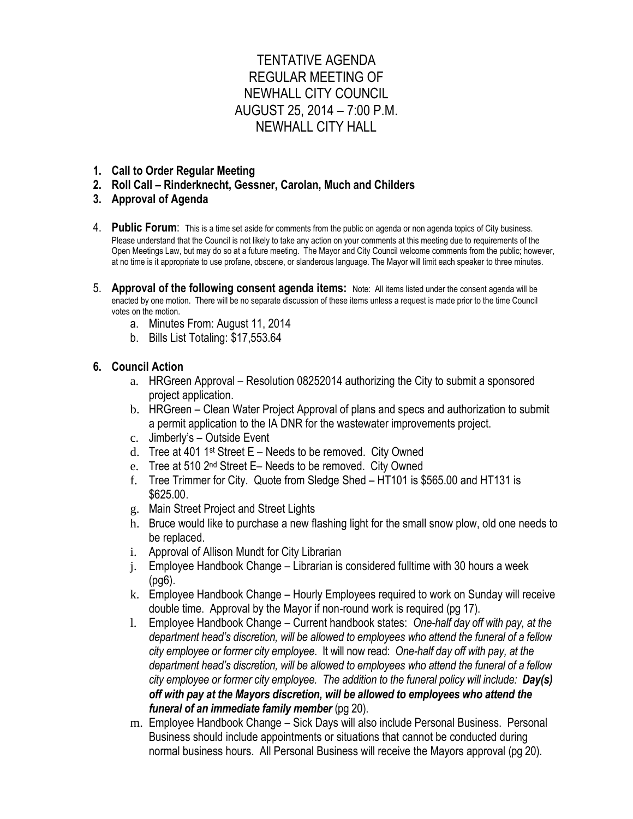## TENTATIVE AGENDA REGULAR MEETING OF NEWHALL CITY COUNCIL AUGUST 25, 2014 – 7:00 P.M. NEWHALL CITY HALL

- **1. Call to Order Regular Meeting**
- **2. Roll Call – Rinderknecht, Gessner, Carolan, Much and Childers**
- **3. Approval of Agenda**
- 4. **Public Forum**: This is a time set aside for comments from the public on agenda or non agenda topics of City business. Please understand that the Council is not likely to take any action on your comments at this meeting due to requirements of the Open Meetings Law, but may do so at a future meeting. The Mayor and City Council welcome comments from the public; however, at no time is it appropriate to use profane, obscene, or slanderous language. The Mayor will limit each speaker to three minutes.
- 5. **Approval of the following consent agenda items:** Note: All items listed under the consent agenda will be enacted by one motion. There will be no separate discussion of these items unless a request is made prior to the time Council votes on the motion.
	- a. Minutes From: August 11, 2014
	- b. Bills List Totaling: \$17,553.64

## **6. Council Action**

- a. HRGreen Approval Resolution 08252014 authorizing the City to submit a sponsored project application.
- b. HRGreen Clean Water Project Approval of plans and specs and authorization to submit a permit application to the IA DNR for the wastewater improvements project.
- c. Jimberly's Outside Event
- d. Tree at 401 1st Street E Needs to be removed. City Owned
- e. Tree at 510 2nd Street E– Needs to be removed. City Owned
- f. Tree Trimmer for City. Quote from Sledge Shed HT101 is \$565.00 and HT131 is \$625.00.
- g. Main Street Project and Street Lights
- h. Bruce would like to purchase a new flashing light for the small snow plow, old one needs to be replaced.
- i. Approval of Allison Mundt for City Librarian
- j. Employee Handbook Change Librarian is considered fulltime with 30 hours a week (pg6).
- k. Employee Handbook Change Hourly Employees required to work on Sunday will receive double time. Approval by the Mayor if non-round work is required (pg 17).
- l. Employee Handbook Change Current handbook states: *One-half day off with pay, at the department head's discretion, will be allowed to employees who attend the funeral of a fellow city employee or former city employee*. It will now read: *One-half day off with pay, at the department head's discretion, will be allowed to employees who attend the funeral of a fellow city employee or former city employee. The addition to the funeral policy will include: Day(s) off with pay at the Mayors discretion, will be allowed to employees who attend the funeral of an immediate family member* (pg 20).
- m. Employee Handbook Change Sick Days will also include Personal Business. Personal Business should include appointments or situations that cannot be conducted during normal business hours. All Personal Business will receive the Mayors approval (pg 20).